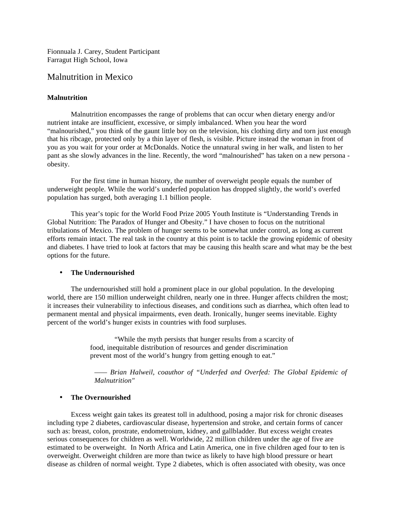Fionnuala J. Carey, Student Participant Farragut High School, Iowa

# Malnutrition in Mexico

## **Malnutrition**

Malnutrition encompasses the range of problems that can occur when dietary energy and/or nutrient intake are insufficient, excessive, or simply imbalanced. When you hear the word "malnourished," you think of the gaunt little boy on the television, his clothing dirty and torn just enough that his ribcage, protected only by a thin layer of flesh, is visible. Picture instead the woman in front of you as you wait for your order at McDonalds. Notice the unnatural swing in her walk, and listen to her pant as she slowly advances in the line. Recently, the word "malnourished" has taken on a new persona obesity.

For the first time in human history, the number of overweight people equals the number of underweight people. While the world's underfed population has dropped slightly, the world's overfed population has surged, both averaging 1.1 billion people.

This year's topic for the World Food Prize 2005 Youth Institute is "Understanding Trends in Global Nutrition: The Paradox of Hunger and Obesity." I have chosen to focus on the nutritional tribulations of Mexico. The problem of hunger seems to be somewhat under control, as long as current efforts remain intact. The real task in the country at this point is to tackle the growing epidemic of obesity and diabetes. I have tried to look at factors that may be causing this health scare and what may be the best options for the future.

#### • **The Undernourished**

The undernourished still hold a prominent place in our global population. In the developing world, there are 150 million underweight children, nearly one in three. Hunger affects children the most; it increases their vulnerability to infectious diseases, and conditions such as diarrhea, which often lead to permanent mental and physical impairments, even death. Ironically, hunger seems inevitable. Eighty percent of the world's hunger exists in countries with food surpluses.

> "While the myth persists that hunger results from a scarcity of food, inequitable distribution of resources and gender discrimination prevent most of the world's hungry from getting enough to eat."

*—— Brian Halweil, coauthor of "Underfed and Overfed: The Global Epidemic of Malnutrition"*

### • **The Overnourished**

Excess weight gain takes its greatest toll in adulthood, posing a major risk for chronic diseases including type 2 diabetes, cardiovascular disease, hypertension and stroke, and certain forms of cancer such as: breast, colon, prostrate, endometroium, kidney, and gallbladder. But excess weight creates serious consequences for children as well. Worldwide, 22 million children under the age of five are estimated to be overweight. In North Africa and Latin America, one in five children aged four to ten is overweight. Overweight children are more than twice as likely to have high blood pressure or heart disease as children of normal weight. Type 2 diabetes, which is often associated with obesity, was once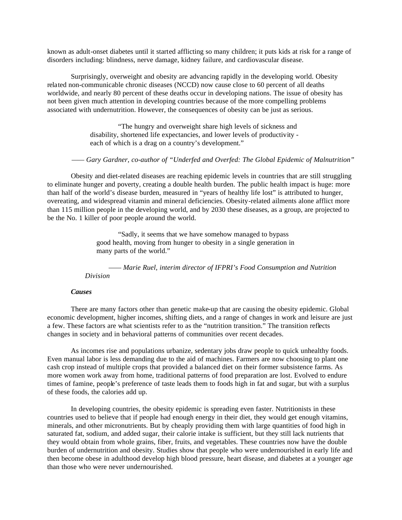known as adult-onset diabetes until it started afflicting so many children; it puts kids at risk for a range of disorders including: blindness, nerve damage, kidney failure, and cardiovascular disease.

Surprisingly, overweight and obesity are advancing rapidly in the developing world. Obesity related non-communicable chronic diseases (NCCD) now cause close to 60 percent of all deaths worldwide, and nearly 80 percent of these deaths occur in developing nations. The issue of obesity has not been given much attention in developing countries because of the more compelling problems associated with undernutrition. However, the consequences of obesity can be just as serious.

> "The hungry and overweight share high levels of sickness and disability, shortened life expectancies, and lower levels of productivity each of which is a drag on a country's development."

### *—— Gary Gardner, co-author of "Underfed and Overfed: The Global Epidemic of Malnutrition"*

Obesity and diet-related diseases are reaching epidemic levels in countries that are still struggling to eliminate hunger and poverty, creating a double health burden. The public health impact is huge: more than half of the world's disease burden, measured in "years of healthy life lost" is attributed to hunger, overeating, and widespread vitamin and mineral deficiencies. Obesity-related ailments alone afflict more than 115 million people in the developing world, and by 2030 these diseases, as a group, are projected to be the No. 1 killer of poor people around the world.

> "Sadly, it seems that we have somehow managed to bypass good health, moving from hunger to obesity in a single generation in many parts of the world."

*—— Marie Ruel, interim director of IFPRI's Food Consumption and Nutrition Division*

#### *Causes*

There are many factors other than genetic make-up that are causing the obesity epidemic. Global economic development, higher incomes, shifting diets, and a range of changes in work and leisure are just a few. These factors are what scientists refer to as the "nutrition transition." The transition reflects changes in society and in behavioral patterns of communities over recent decades.

As incomes rise and populations urbanize, sedentary jobs draw people to quick unhealthy foods. Even manual labor is less demanding due to the aid of machines. Farmers are now choosing to plant one cash crop instead of multiple crops that provided a balanced diet on their former subsistence farms. As more women work away from home, traditional patterns of food preparation are lost. Evolved to endure times of famine, people's preference of taste leads them to foods high in fat and sugar, but with a surplus of these foods, the calories add up.

In developing countries, the obesity epidemic is spreading even faster. Nutritionists in these countries used to believe that if people had enough energy in their diet, they would get enough vitamins, minerals, and other micronutrients. But by cheaply providing them with large quantities of food high in saturated fat, sodium, and added sugar, their calorie intake is sufficient, but they still lack nutrients that they would obtain from whole grains, fiber, fruits, and vegetables. These countries now have the double burden of undernutrition and obesity. Studies show that people who were undernourished in early life and then become obese in adulthood develop high blood pressure, heart disease, and diabetes at a younger age than those who were never undernourished.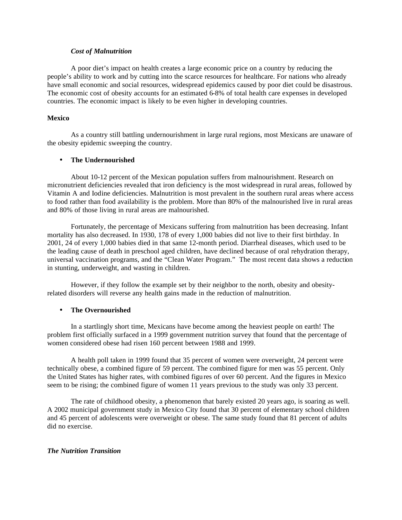### *Cost of Malnutrition*

A poor diet's impact on health creates a large economic price on a country by reducing the people's ability to work and by cutting into the scarce resources for healthcare. For nations who already have small economic and social resources, widespread epidemics caused by poor diet could be disastrous. The economic cost of obesity accounts for an estimated 6-8% of total health care expenses in developed countries. The economic impact is likely to be even higher in developing countries.

#### **Mexico**

As a country still battling undernourishment in large rural regions, most Mexicans are unaware of the obesity epidemic sweeping the country.

### • **The Undernourished**

About 10-12 percent of the Mexican population suffers from malnourishment. Research on micronutrient deficiencies revealed that iron deficiency is the most widespread in rural areas, followed by Vitamin A and Iodine deficiencies. Malnutrition is most prevalent in the southern rural areas where access to food rather than food availability is the problem. More than 80% of the malnourished live in rural areas and 80% of those living in rural areas are malnourished.

Fortunately, the percentage of Mexicans suffering from malnutrition has been decreasing. Infant mortality has also decreased. In 1930, 178 of every 1,000 babies did not live to their first birthday. In 2001, 24 of every 1,000 babies died in that same 12-month period. Diarrheal diseases, which used to be the leading cause of death in preschool aged children, have declined because of oral rehydration therapy, universal vaccination programs, and the "Clean Water Program." The most recent data shows a reduction in stunting, underweight, and wasting in children.

However, if they follow the example set by their neighbor to the north, obesity and obesityrelated disorders will reverse any health gains made in the reduction of malnutrition.

#### • **The Overnourished**

In a startlingly short time, Mexicans have become among the heaviest people on earth! The problem first officially surfaced in a 1999 government nutrition survey that found that the percentage of women considered obese had risen 160 percent between 1988 and 1999.

A health poll taken in 1999 found that 35 percent of women were overweight, 24 percent were technically obese, a combined figure of 59 percent. The combined figure for men was 55 percent. Only the United States has higher rates, with combined figures of over 60 percent. And the figures in Mexico seem to be rising; the combined figure of women 11 years previous to the study was only 33 percent.

The rate of childhood obesity, a phenomenon that barely existed 20 years ago, is soaring as well. A 2002 municipal government study in Mexico City found that 30 percent of elementary school children and 45 percent of adolescents were overweight or obese. The same study found that 81 percent of adults did no exercise.

## *The Nutrition Transition*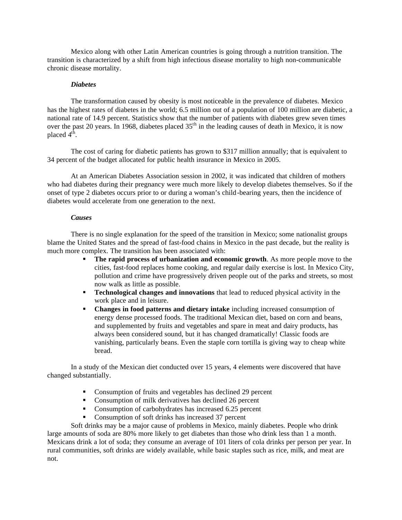Mexico along with other Latin American countries is going through a nutrition transition. The transition is characterized by a shift from high infectious disease mortality to high non-communicable chronic disease mortality.

### *Diabetes*

The transformation caused by obesity is most noticeable in the prevalence of diabetes. Mexico has the highest rates of diabetes in the world; 6.5 million out of a population of 100 million are diabetic, a national rate of 14.9 percent. Statistics show that the number of patients with diabetes grew seven times over the past 20 years. In 1968, diabetes placed  $35<sup>th</sup>$  in the leading causes of death in Mexico, it is now placed  $4^{\text{th}}$ .

The cost of caring for diabetic patients has grown to \$317 million annually; that is equivalent to 34 percent of the budget allocated for public health insurance in Mexico in 2005.

At an American Diabetes Association session in 2002, it was indicated that children of mothers who had diabetes during their pregnancy were much more likely to develop diabetes themselves. So if the onset of type 2 diabetes occurs prior to or during a woman's child-bearing years, then the incidence of diabetes would accelerate from one generation to the next.

#### *Causes*

There is no single explanation for the speed of the transition in Mexico; some nationalist groups blame the United States and the spread of fast-food chains in Mexico in the past decade, but the reality is much more complex. The transition has been associated with:

- **The rapid process of urbanization and economic growth**. As more people move to the cities, fast-food replaces home cooking, and regular daily exercise is lost. In Mexico City, pollution and crime have progressively driven people out of the parks and streets, so most now walk as little as possible.
- **Technological changes and innovations** that lead to reduced physical activity in the work place and in leisure.
- **Changes in food patterns and dietary intake** including increased consumption of energy dense processed foods. The traditional Mexican diet, based on corn and beans, and supplemented by fruits and vegetables and spare in meat and dairy products, has always been considered sound, but it has changed dramatically! Classic foods are vanishing, particularly beans. Even the staple corn tortilla is giving way to cheap white bread.

In a study of the Mexican diet conducted over 15 years, 4 elements were discovered that have changed substantially.

- Consumption of fruits and vegetables has declined 29 percent
- Consumption of milk derivatives has declined 26 percent
- Consumption of carbohydrates has increased 6.25 percent
- Consumption of soft drinks has increased 37 percent

Soft drinks may be a major cause of problems in Mexico, mainly diabetes. People who drink large amounts of soda are 80% more likely to get diabetes than those who drink less than 1 a month. Mexicans drink a lot of soda; they consume an average of 101 liters of cola drinks per person per year. In rural communities, soft drinks are widely available, while basic staples such as rice, milk, and meat are not.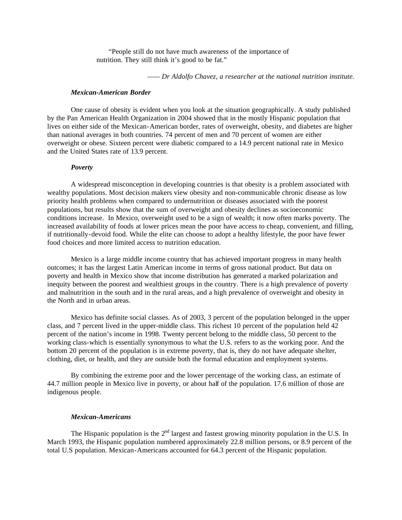"People still do not have much awareness of the importance of nutrition. They still think it's good to be fat."

*—— Dr Aldolfo Chavez, a researcher at the national nutrition institute.*

#### *Mexican-American Border*

One cause of obesity is evident when you look at the situation geographically. A study published by the Pan American Health Organization in 2004 showed that in the mostly Hispanic population that lives on either side of the Mexican-American border, rates of overweight, obesity, and diabetes are higher than national averages in both countries. 74 percent of men and 70 percent of women are either overweight or obese. Sixteen percent were diabetic compared to a 14.9 percent national rate in Mexico and the United States rate of 13.9 percent.

#### *Poverty*

A widespread misconception in developing countries is that obesity is a problem associated with wealthy populations. Most decision makers view obesity and non-communicable chronic disease as low priority health problems when compared to undernutrition or diseases associated with the poorest populations, but results show that the sum of overweight and obesity declines as socioeconomic conditions increase. In Mexico, overweight used to be a sign of wealth; it now often marks poverty. The increased availability of foods at lower prices mean the poor have access to cheap, convenient, and filling, if nutritionally-devoid food. While the elite can choose to adopt a healthy lifestyle, the poor have fewer food choices and more limited access to nutrition education.

Mexico is a large middle income country that has achieved important progress in many health outcomes; it has the largest Latin American income in terms of gross national product. But data on poverty and health in Mexico show that income distribution has generated a marked polarization and inequity between the poorest and wealthiest groups in the country. There is a high prevalence of poverty and malnutrition in the south and in the rural areas, and a high prevalence of overweight and obesity in the North and in urban areas.

Mexico has definite social classes. As of 2003, 3 percent of the population belonged in the upper class, and 7 percent lived in the upper-middle class. This richest 10 percent of the population held 42 percent of the nation's income in 1998. Twenty percent belong to the middle class, 50 percent to the working class-which is essentially synonymous to what the U.S. refers to as the working poor. And the bottom 20 percent of the population is in extreme poverty, that is, they do not have adequate shelter, clothing, diet, or health, and they are outside both the formal education and employment systems.

By combining the extreme poor and the lower percentage of the working class, an estimate of 44.7 million people in Mexico live in poverty, or about half of the population. 17.6 million of those are indigenous people.

#### *Mexican-Americans*

The Hispanic population is the  $2<sup>nd</sup>$  largest and fastest growing minority population in the U.S. In March 1993, the Hispanic population numbered approximately 22.8 million persons, or 8.9 percent of the total U.S population. Mexican-Americans accounted for 64.3 percent of the Hispanic population.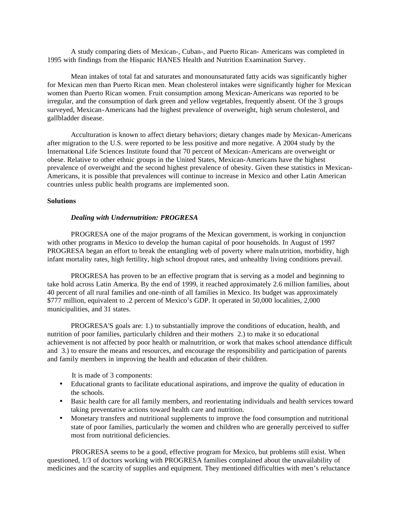A study comparing diets of Mexican-, Cuban-, and Puerto Rican- Americans was completed in 1995 with findings from the Hispanic HANES Health and Nutrition Examination Survey.

Mean intakes of total fat and saturates and monounsaturated fatty acids was significantly higher for Mexican men than Puerto Rican men. Mean cholesterol intakes were significantly higher for Mexican women than Puerto Rican women. Fruit consumption among Mexican-Americans was reported to be irregular, and the consumption of dark green and yellow vegetables, frequently absent. Of the 3 groups surveyed, Mexican-Americans had the highest prevalence of overweight, high serum cholesterol, and gallbladder disease.

Acculturation is known to affect dietary behaviors; dietary changes made by Mexican-Americans after migration to the U.S. were reported to be less positive and more negative. A 2004 study by the International Life Sciences Institute found that 70 percent of Mexican-Americans are overweight or obese. Relative to other ethnic groups in the United States, Mexican-Americans have the highest prevalence of overweight and the second highest prevalence of obesity. Given these statistics in Mexican-Americans, it is possible that prevalences will continue to increase in Mexico and other Latin American countries unless public health programs are implemented soon.

#### **Solutions**

#### *Dealing with Undernutrition: PROGRESA*

PROGRESA one of the major programs of the Mexican government, is working in conjunction with other programs in Mexico to develop the human capital of poor households. In August of 1997 PROGRESA began an effort to break the entangling web of poverty where malnutrition, morbidity, high infant mortality rates, high fertility, high school dropout rates, and unhealthy living conditions prevail.

PROGRESA has proven to be an effective program that is serving as a model and beginning to take hold across Latin America. By the end of 1999, it reached approximately 2.6 million families, about 40 percent of all rural families and one-ninth of all families in Mexico. Its budget was approximately \$777 million, equivalent to .2 percent of Mexico's GDP. It operated in 50,000 localities, 2,000 municipalities, and 31 states.

PROGRESA'S goals are: 1.) to substantially improve the conditions of education, health, and nutrition of poor families, particularly children and their mothers 2.) to make it so educational achievement is not affected by poor health or malnutrition, or work that makes school attendance difficult and 3.) to ensure the means and resources, and encourage the responsibility and participation of parents and family members in improving the health and education of their children.

It is made of 3 components:

- Educational grants to facilitate educational aspirations, and improve the quality of education in the schools.
- Basic health care for all family members, and reorientating individuals and health services toward taking preventative actions toward health care and nutrition.
- Monetary transfers and nutritional supplements to improve the food consumption and nutritional state of poor families, particularly the women and children who are generally perceived to suffer most from nutritional deficiencies.

PROGRESA seems to be a good, effective program for Mexico, but problems still exist. When questioned, 1/3 of doctors working with PROGRESA families complained about the unavailability of medicines and the scarcity of supplies and equipment. They mentioned difficulties with men's reluctance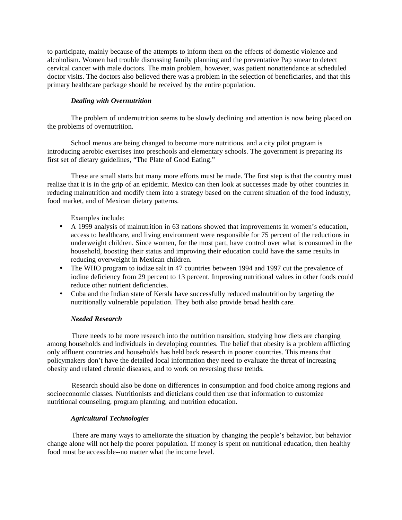to participate, mainly because of the attempts to inform them on the effects of domestic violence and alcoholism. Women had trouble discussing family planning and the preventative Pap smear to detect cervical cancer with male doctors. The main problem, however, was patient nonattendance at scheduled doctor visits. The doctors also believed there was a problem in the selection of beneficiaries, and that this primary healthcare package should be received by the entire population.

## *Dealing with Overnutrition*

The problem of undernutrition seems to be slowly declining and attention is now being placed on the problems of overnutrition.

School menus are being changed to become more nutritious, and a city pilot program is introducing aerobic exercises into preschools and elementary schools. The government is preparing its first set of dietary guidelines, "The Plate of Good Eating."

These are small starts but many more efforts must be made. The first step is that the country must realize that it is in the grip of an epidemic. Mexico can then look at successes made by other countries in reducing malnutrition and modify them into a strategy based on the current situation of the food industry, food market, and of Mexican dietary patterns.

Examples include:

- A 1999 analysis of malnutrition in 63 nations showed that improvements in women's education, access to healthcare, and living environment were responsible for 75 percent of the reductions in underweight children. Since women, for the most part, have control over what is consumed in the household, boosting their status and improving their education could have the same results in reducing overweight in Mexican children.
- The WHO program to iodize salt in 47 countries between 1994 and 1997 cut the prevalence of iodine deficiency from 29 percent to 13 percent. Improving nutritional values in other foods could reduce other nutrient deficiencies.
- Cuba and the Indian state of Kerala have successfully reduced malnutrition by targeting the nutritionally vulnerable population. They both also provide broad health care.

### *Needed Research*

There needs to be more research into the nutrition transition, studying how diets are changing among households and individuals in developing countries. The belief that obesity is a problem afflicting only affluent countries and households has held back research in poorer countries. This means that policymakers don't have the detailed local information they need to evaluate the threat of increasing obesity and related chronic diseases, and to work on reversing these trends.

Research should also be done on differences in consumption and food choice among regions and socioeconomic classes. Nutritionists and dieticians could then use that information to customize nutritional counseling, program planning, and nutrition education.

## *Agricultural Technologies*

There are many ways to ameliorate the situation by changing the people's behavior, but behavior change alone will not help the poorer population. If money is spent on nutritional education, then healthy food must be accessible--no matter what the income level.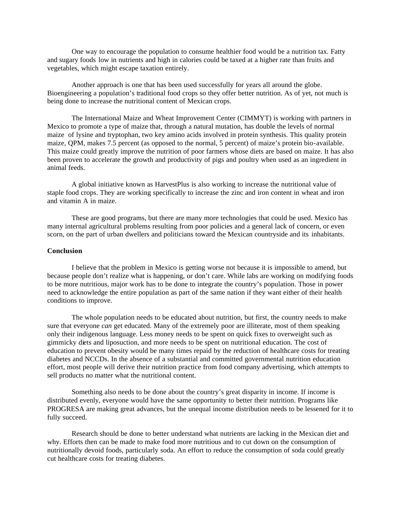One way to encourage the population to consume healthier food would be a nutrition tax. Fatty and sugary foods low in nutrients and high in calories could be taxed at a higher rate than fruits and vegetables, which might escape taxation entirely.

Another approach is one that has been used successfully for years all around the globe. Bioengineering a population's traditional food crops so they offer better nutrition. As of yet, not much is being done to increase the nutritional content of Mexican crops.

The International Maize and Wheat Improvement Center (CIMMYT) is working with partners in Mexico to promote a type of maize that, through a natural mutation, has double the levels of normal maize of lysine and tryptophan, two key amino acids involved in protein synthesis. This quality protein maize, QPM, makes 7.5 percent (as opposed to the normal, 5 percent) of maize's protein bio-available. This maize could greatly improve the nutrition of poor farmers whose diets are based on maize. It has also been proven to accelerate the growth and productivity of pigs and poultry when used as an ingredient in animal feeds.

A global initiative known as HarvestPlus is also working to increase the nutritional value of staple food crops. They are working specifically to increase the zinc and iron content in wheat and iron and vitamin A in maize.

These are good programs, but there are many more technologies that could be used. Mexico has many internal agricultural problems resulting from poor policies and a general lack of concern, or even scorn, on the part of urban dwellers and politicians toward the Mexican countryside and its inhabitants.

### **Conclusion**

I believe that the problem in Mexico is getting worse not because it is impossible to amend, but because people don't realize what is happening, or don't care. While labs are working on modifying foods to be more nutritious, major work has to be done to integrate the country's population. Those in power need to acknowledge the entire population as part of the same nation if they want either of their health conditions to improve.

The whole population needs to be educated about nutrition, but first, the country needs to make sure that everyone *can* get educated. Many of the extremely poor are illiterate, most of them speaking only their indigenous language. Less money needs to be spent on quick fixes to overweight such as gimmicky diets and liposuction, and more needs to be spent on nutritional education. The cost of education to prevent obesity would be many times repaid by the reduction of healthcare costs for treating diabetes and NCCDs. In the absence of a substantial and committed governmental nutrition education effort, most people will derive their nutrition practice from food company advertising, which attempts to sell products no matter what the nutritional content.

Something also needs to be done about the country's great disparity in income. If income is distributed evenly, everyone would have the same opportunity to better their nutrition. Programs like PROGRESA are making great advances, but the unequal income distribution needs to be lessened for it to fully succeed.

Research should be done to better understand what nutrients are lacking in the Mexican diet and why. Efforts then can be made to make food more nutritious and to cut down on the consumption of nutritionally devoid foods, particularly soda. An effort to reduce the consumption of soda could greatly cut healthcare costs for treating diabetes.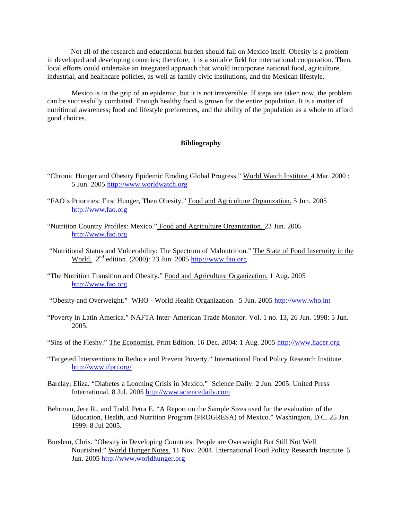Not all of the research and educational burden should fall on Mexico itself. Obesity is a problem in developed and developing countries; therefore, it is a suitable field for international cooperation. Then, local efforts could undertake an integrated approach that would incorporate national food, agriculture, industrial, and healthcare policies, as well as family civic institutions, and the Mexican lifestyle.

Mexico is in the grip of an epidemic, but it is not irreversible. If steps are taken now, the problem can be successfully combated. Enough healthy food is grown for the entire population. It is a matter of nutritional awareness; food and lifestyle preferences, and the ability of the population as a whole to afford good choices.

### **Bibliography**

- "Chronic Hunger and Obesity Epidemic Eroding Global Progress." World Watch Institute. 4 Mar. 2000 : 5 Jun. 2005 http://www.worldwatch.org
- "FAO's Priorities: First Hunger, Then Obesity." Food and Agriculture Organization. 5 Jun. 2005 http://www.fao.org
- "Nutrition Country Profiles: Mexico." Food and Agriculture Organization. 23 Jun. 2005 http://www.fao.org
- "Nutritional Status and Vulnerability: The Spectrum of Malnutrition." The State of Food Insecurity in the World. 2nd edition. (2000): 23 Jun. 2005 http://www.fao.org
- "The Nutrition Transition and Obesity." Food and Agriculture Organization. 1 Aug. 2005 http://www.fao.org
- "Obesity and Overweight." WHO World Health Organization. 5 Jun. 2005 http://www.who.int
- "Poverty in Latin America." NAFTA Inter-American Trade Monitor. Vol. 1 no. 13, 26 Jun. 1998: 5 Jun. 2005.
- "Sins of the Fleshy." The Economist. Print Edition. 16 Dec. 2004: 1 Aug. 2005 http://www.hacer.org
- "Targeted Interventions to Reduce and Prevent Poverty." International Food Policy Research Institute. http://www.ifpri.org/
- Barclay, Eliza. "Diabetes a Looming Crisis in Mexico." Science Daily. 2 Jun. 2005. United Press International. 8 Jul. 2005 http://www.sciencedaily.com
- Behrman, Jere R., and Todd, Petra E. "A Report on the Sample Sizes used for the evaluation of the Education, Health, and Nutrition Program (PROGRESA) of Mexico." Washington, D.C. 25 Jan. 1999: 8 Jul 2005.
- Burslem, Chris. "Obesity in Developing Countries: People are Overweight But Still Not Well Nourished." World Hunger Notes. 11 Nov. 2004. International Food Policy Research Institute. 5 Jun. 2005 http://www.worldhunger.org